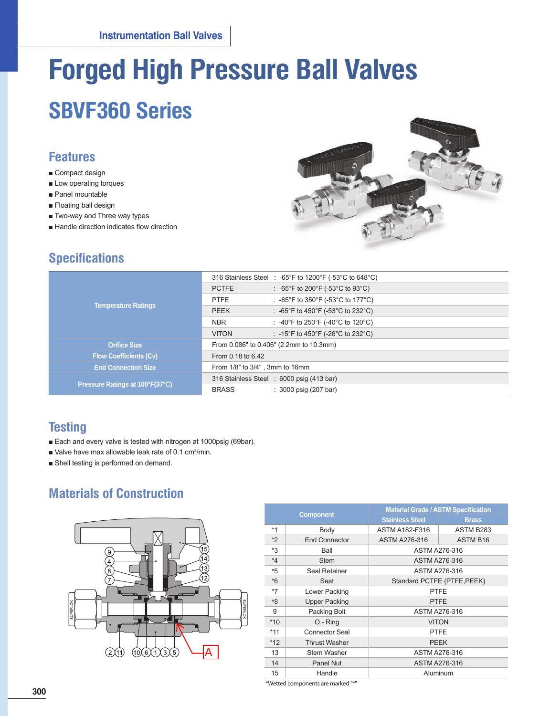# **Forged High Pressure Ball Valves**

## **SBVF360 Series**

## **Features**

- Compact design
- Low operating torques
- Panel mountable
- Floating ball design
- Two-way and Three way types
- Handle direction indicates flow direction



## **Specifications**

|                                 | 316 Stainless Steel : -65°F to 1200°F (-53°C to 648°C) |  |  |  |  |
|---------------------------------|--------------------------------------------------------|--|--|--|--|
|                                 | : -65°F to 200°F (-53°C to 93°C)<br><b>PCTFE</b>       |  |  |  |  |
|                                 | : -65°F to 350°F (-53°C to 177°C)<br><b>PTFE</b>       |  |  |  |  |
| <b>Temperature Ratings</b>      | : -65°F to 450°F (-53°C to 232°C)<br><b>PEEK</b>       |  |  |  |  |
|                                 | <b>NBR</b><br>: -40°F to 250°F (-40°C to 120°C)        |  |  |  |  |
|                                 | : -15°F to 450°F (-26°C to 232°C)<br><b>VITON</b>      |  |  |  |  |
| <b>Orifice Size</b>             | From 0.086" to 0.406" (2.2mm to 10.3mm)                |  |  |  |  |
| <b>Flow Coefficients (Cv)</b>   | From 0.18 to 6.42                                      |  |  |  |  |
| <b>End Connection Size</b>      | From 1/8" to 3/4", 3mm to 16mm                         |  |  |  |  |
|                                 | 316 Stainless Steel : 6000 psig (413 bar)              |  |  |  |  |
| Pressure Ratings at 100°F(37°C) | <b>BRASS</b><br>$: 3000$ psig (207 bar)                |  |  |  |  |

## **Testing**

- Each and every valve is tested with nitrogen at 1000psig (69bar).
- Valve have max allowable leak rate of 0.1 cm<sup>3</sup>/min.
- Shell testing is performed on demand.

## **Materials of Construction**



|         |                      | <b>Material Grade / ASTM Specification</b> |                 |  |  |  |
|---------|----------------------|--------------------------------------------|-----------------|--|--|--|
|         | <b>Component</b>     | <b>Stainless Steel</b>                     | <b>Brass</b>    |  |  |  |
| $*1$    | Body                 | <b>ASTM A182-F316</b>                      | ASTM B283       |  |  |  |
| $*2$    | <b>End Connector</b> | <b>ASTM A276-316</b>                       | <b>ASTM B16</b> |  |  |  |
| *3      | Ball                 | ASTM A276-316                              |                 |  |  |  |
| $*_{4}$ | Stem                 | ASTM A276-316                              |                 |  |  |  |
| $*5$    | Seal Retainer        | ASTM A276-316                              |                 |  |  |  |
| $*6$    | Seat                 | Standard PCTFE (PTFE, PEEK)                |                 |  |  |  |
| $*7$    | Lower Packing        | <b>PTFE</b>                                |                 |  |  |  |
| $8*$    | <b>Upper Packing</b> | <b>PTFE</b>                                |                 |  |  |  |
| 9       | Packing Bolt         | ASTM A276-316                              |                 |  |  |  |
| $*10$   | O - Ring             | <b>VITON</b>                               |                 |  |  |  |
| $*11$   | Connector Seal       | <b>PTFE</b>                                |                 |  |  |  |
| $*12$   | <b>Thrust Washer</b> | <b>PEEK</b>                                |                 |  |  |  |
| 13      | Stem Washer          | ASTM A276-316                              |                 |  |  |  |
| 14      | Panel Nut            | ASTM A276-316                              |                 |  |  |  |
| 15      | Handle               | Aluminum                                   |                 |  |  |  |

\*Wetted components are marked "\*"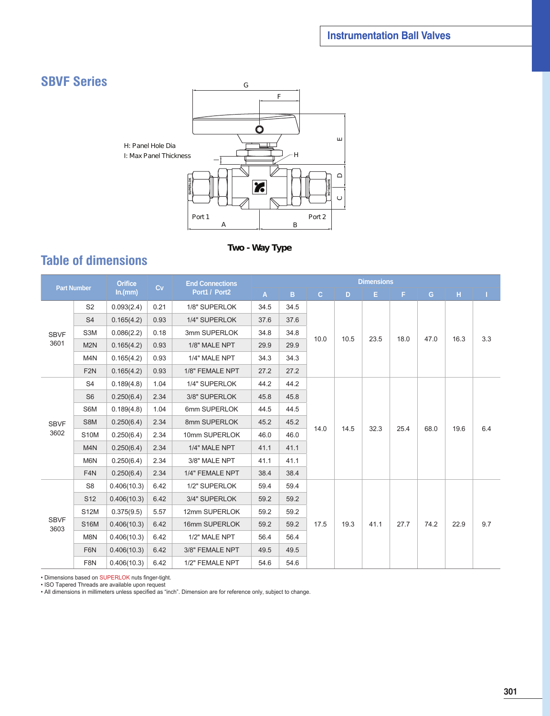## **SBVF Series**



**Two - Way Type**

## **Table of dimensions**

| <b>Orifice</b><br><b>End Connections</b><br>Cv<br><b>Part Number</b> |                  |             |      | <b>Dimensions</b> |      |      |              |      |      |      |      |      |     |
|----------------------------------------------------------------------|------------------|-------------|------|-------------------|------|------|--------------|------|------|------|------|------|-----|
|                                                                      |                  | ln.(mm)     |      | Port1 / Port2     | A    | B.   | $\mathbf{C}$ | D.   | Е    | F.   | G    | н.   |     |
|                                                                      | S <sub>2</sub>   | 0.093(2.4)  | 0.21 | 1/8" SUPERLOK     | 34.5 | 34.5 |              |      |      |      |      |      |     |
|                                                                      | S <sub>4</sub>   | 0.165(4.2)  | 0.93 | 1/4" SUPERLOK     | 37.6 | 37.6 |              |      |      |      |      |      |     |
| <b>SBVF</b>                                                          | S3M              | 0.086(2.2)  | 0.18 | 3mm SUPERLOK      | 34.8 | 34.8 | 10.0         | 10.5 | 23.5 | 18.0 |      |      |     |
| 3601                                                                 | M <sub>2N</sub>  | 0.165(4.2)  | 0.93 | 1/8" MALE NPT     | 29.9 | 29.9 |              |      |      |      | 47.0 | 16.3 | 3.3 |
|                                                                      | M <sub>4</sub> N | 0.165(4.2)  | 0.93 | 1/4" MALE NPT     | 34.3 | 34.3 |              |      |      |      |      |      |     |
|                                                                      | F <sub>2N</sub>  | 0.165(4.2)  | 0.93 | 1/8" FEMALE NPT   | 27.2 | 27.2 |              |      |      |      |      |      |     |
|                                                                      | S <sub>4</sub>   | 0.189(4.8)  | 1.04 | 1/4" SUPERLOK     | 44.2 | 44.2 |              | 14.5 |      |      | 68.0 | 19.6 |     |
|                                                                      | S <sub>6</sub>   | 0.250(6.4)  | 2.34 | 3/8" SUPERLOK     | 45.8 | 45.8 | 14.0         |      | 32.3 | 25.4 |      |      |     |
|                                                                      | S6M              | 0.189(4.8)  | 1.04 | 6mm SUPERLOK      | 44.5 | 44.5 |              |      |      |      |      |      |     |
| <b>SBVF</b>                                                          | S8M              | 0.250(6.4)  | 2.34 | 8mm SUPERLOK      | 45.2 | 45.2 |              |      |      |      |      |      | 6.4 |
| 3602                                                                 | <b>S10M</b>      | 0.250(6.4)  | 2.34 | 10mm SUPERLOK     | 46.0 | 46.0 |              |      |      |      |      |      |     |
|                                                                      | M <sub>4</sub> N | 0.250(6.4)  | 2.34 | 1/4" MALE NPT     | 41.1 | 41.1 |              |      |      |      |      |      |     |
|                                                                      | M6N              | 0.250(6.4)  | 2.34 | 3/8" MALE NPT     | 41.1 | 41.1 |              |      |      |      |      |      |     |
|                                                                      | F <sub>4</sub> N | 0.250(6.4)  | 2.34 | 1/4" FEMALE NPT   | 38.4 | 38.4 |              |      |      |      |      |      |     |
|                                                                      | S <sub>8</sub>   | 0.406(10.3) | 6.42 | 1/2" SUPERLOK     | 59.4 | 59.4 |              |      |      |      |      |      |     |
|                                                                      | S <sub>12</sub>  | 0.406(10.3) | 6.42 | 3/4" SUPERLOK     | 59.2 | 59.2 |              |      |      |      |      |      |     |
|                                                                      | <b>S12M</b>      | 0.375(9.5)  | 5.57 | 12mm SUPERLOK     | 59.2 | 59.2 |              |      |      |      |      |      |     |
| <b>SBVF</b><br>3603                                                  | <b>S16M</b>      | 0.406(10.3) | 6.42 | 16mm SUPERLOK     | 59.2 | 59.2 | 17.5         | 19.3 | 41.1 | 27.7 | 74.2 | 22.9 | 9.7 |
|                                                                      | M8N              | 0.406(10.3) | 6.42 | 1/2" MALE NPT     | 56.4 | 56.4 |              |      |      |      |      |      |     |
|                                                                      | F6N              | 0.406(10.3) | 6.42 | 3/8" FEMALE NPT   | 49.5 | 49.5 |              |      |      |      |      |      |     |
|                                                                      | F8N              | 0.406(10.3) | 6.42 | 1/2" FEMALE NPT   | 54.6 | 54.6 |              |      |      |      |      |      |     |

• Dimensions based on SUPERLOK nuts finger-tight.

• ISO Tapered Threads are available upon request

• All dimensions in millimeters unless specified as "inch". Dimension are for reference only, subject to change.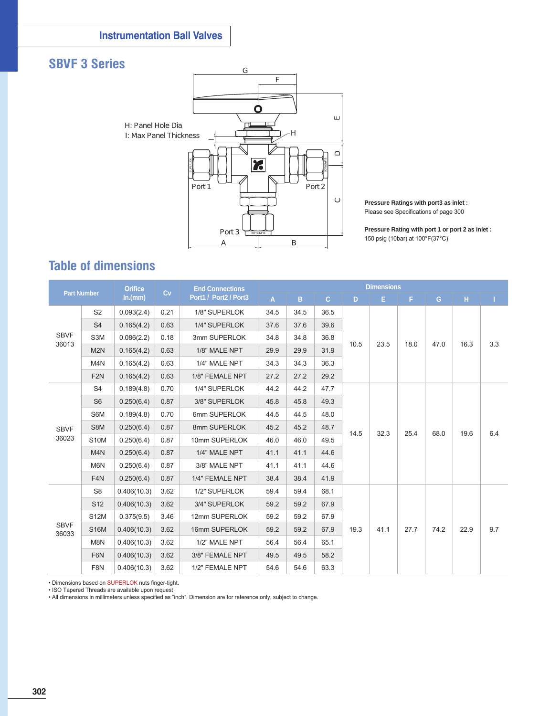## **SBVF 3 Series**



**Pressure Ratings with port3 as inlet :** Please see Specifications of page 300

**Pressure Rating with port 1 or port 2 as inlet :** 150 psig (10bar) at 100°F(37°C)

## **Table of dimensions**

| <b>Part Number</b>                              |                  | <b>Orifice</b><br>Cv |      | <b>End Connections</b> |      | <b>Dimensions</b> |              |              |      |      |      |      |     |  |
|-------------------------------------------------|------------------|----------------------|------|------------------------|------|-------------------|--------------|--------------|------|------|------|------|-----|--|
|                                                 |                  | ln.(mm)              |      | Port1 / Port2 / Port3  | A    | B                 | $\mathbf{C}$ | D.           | E.   | F.   | G    | H.   |     |  |
|                                                 | S <sub>2</sub>   | 0.093(2.4)           | 0.21 | 1/8" SUPERLOK          | 34.5 | 34.5              | 36.5         |              |      |      |      | 16.3 |     |  |
|                                                 | S <sub>4</sub>   | 0.165(4.2)           | 0.63 | 1/4" SUPERLOK          | 37.6 | 37.6              | 39.6         |              |      |      |      |      |     |  |
| <b>SBVF</b><br>36013                            | S3M              | 0.086(2.2)           | 0.18 | 3mm SUPERLOK           | 34.8 | 34.8              | 36.8         | 10.5         | 23.5 | 18.0 |      |      | 3.3 |  |
|                                                 | M <sub>2N</sub>  | 0.165(4.2)           | 0.63 | 1/8" MALE NPT          | 29.9 | 29.9              | 31.9         |              |      |      | 47.0 |      |     |  |
|                                                 | M <sub>4</sub> N | 0.165(4.2)           | 0.63 | 1/4" MALE NPT          | 34.3 | 34.3              | 36.3         |              |      |      |      |      |     |  |
|                                                 | F <sub>2N</sub>  | 0.165(4.2)           | 0.63 | 1/8" FEMALE NPT        | 27.2 | 27.2              | 29.2         |              |      |      |      |      |     |  |
| S <sub>4</sub><br>S <sub>6</sub><br><b>SBVF</b> |                  | 0.189(4.8)           | 0.70 | 1/4" SUPERLOK          | 44.2 | 44.2              | 47.7         | 14.5<br>32.3 |      |      | 68.0 | 19.6 |     |  |
|                                                 |                  | 0.250(6.4)           | 0.87 | 3/8" SUPERLOK          | 45.8 | 45.8              | 49.3         |              |      |      |      |      |     |  |
|                                                 | S6M              | 0.189(4.8)           | 0.70 | 6mm SUPERLOK           | 44.5 | 44.5              | 48.0         |              |      |      |      |      |     |  |
|                                                 | S8M              | 0.250(6.4)           | 0.87 | 8mm SUPERLOK           | 45.2 | 45.2              | 48.7         |              |      | 25.4 |      |      | 6.4 |  |
| 36023                                           | <b>S10M</b>      | 0.250(6.4)           | 0.87 | 10mm SUPERLOK          | 46.0 | 46.0              | 49.5         |              |      |      |      |      |     |  |
|                                                 | M <sub>4</sub> N | 0.250(6.4)           | 0.87 | 1/4" MALE NPT          | 41.1 | 41.1              | 44.6         |              |      |      |      |      |     |  |
|                                                 | M6N              | 0.250(6.4)           | 0.87 | 3/8" MALE NPT          | 41.1 | 41.1              | 44.6         |              |      |      |      |      |     |  |
|                                                 | F <sub>4</sub> N | 0.250(6.4)           | 0.87 | 1/4" FEMALE NPT        | 38.4 | 38.4              | 41.9         |              |      |      |      |      |     |  |
|                                                 | S <sub>8</sub>   | 0.406(10.3)          | 3.62 | 1/2" SUPERLOK          | 59.4 | 59.4              | 68.1         |              |      |      |      |      |     |  |
|                                                 | S <sub>12</sub>  | 0.406(10.3)          | 3.62 | 3/4" SUPERLOK          | 59.2 | 59.2              | 67.9         |              |      |      |      |      |     |  |
|                                                 | <b>S12M</b>      | 0.375(9.5)           | 3.46 | 12mm SUPERLOK          | 59.2 | 59.2              | 67.9         |              |      |      |      |      |     |  |
| <b>SBVF</b><br>36033                            | <b>S16M</b>      | 0.406(10.3)          | 3.62 | 16mm SUPERLOK          | 59.2 | 59.2              | 67.9         | 19.3         | 41.1 | 27.7 | 74.2 | 22.9 | 9.7 |  |
|                                                 | M8N              | 0.406(10.3)          | 3.62 | 1/2" MALE NPT          | 56.4 | 56.4              | 65.1         |              |      |      |      |      |     |  |
|                                                 | F6N              | 0.406(10.3)          | 3.62 | 3/8" FEMALE NPT        | 49.5 | 49.5              | 58.2         |              |      |      |      |      |     |  |
|                                                 | F8N              | 0.406(10.3)          | 3.62 | 1/2" FEMALE NPT        | 54.6 | 54.6              | 63.3         |              |      |      |      |      |     |  |

• Dimensions based on SUPERLOK nuts finger-tight.

• ISO Tapered Threads are available upon request

• All dimensions in millimeters unless specified as "inch". Dimension are for reference only, subject to change.